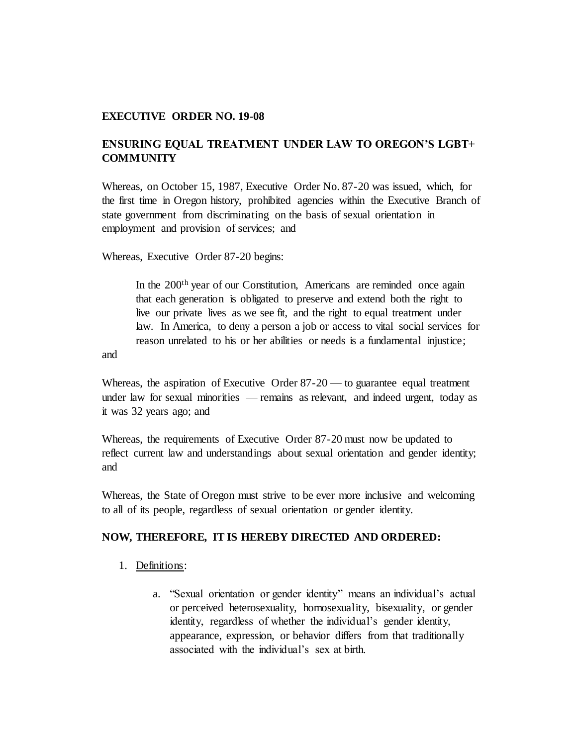#### **EXECUTIVE ORDER NO. 19-08**

# **ENSURING EQUAL TREATMENT UNDER LAW TO OREGON'S LGBT+ COMMUNITY**

Whereas, on October 15, 1987, Executive Order No. 87-20 was issued, which, for the first time in Oregon history, prohibited agencies within the Executive Branch of state government from discriminating on the basis of sexual orientation in employment and provision of services; and

Whereas, Executive Order 87-20 begins:

In the 200<sup>th</sup> year of our Constitution, Americans are reminded once again that each generation is obligated to preserve and extend both the right to live our private lives as we see fit, and the right to equal treatment under law. In America, to deny a person a job or access to vital social services for reason unrelated to his or her abilities or needs is a fundamental injustice;

and

Whereas, the aspiration of Executive Order 87-20 — to guarantee equal treatment under law for sexual minorities — remains as relevant, and indeed urgent, today as it was 32 years ago; and

Whereas, the requirements of Executive Order 87-20 must now be updated to reflect current law and understandings about sexual orientation and gender identity; and

Whereas, the State of Oregon must strive to be ever more inclusive and welcoming to all of its people, regardless of sexual orientation or gender identity.

## **NOW, THEREFORE, IT IS HEREBY DIRECTED AND ORDERED:**

- 1. Definitions:
	- a. "Sexual orientation or gender identity" means an individual's actual or perceived heterosexuality, homosexuality, bisexuality, or gender identity, regardless of whether the individual's gender identity, appearance, expression, or behavior differs from that traditionally associated with the individual's sex at birth.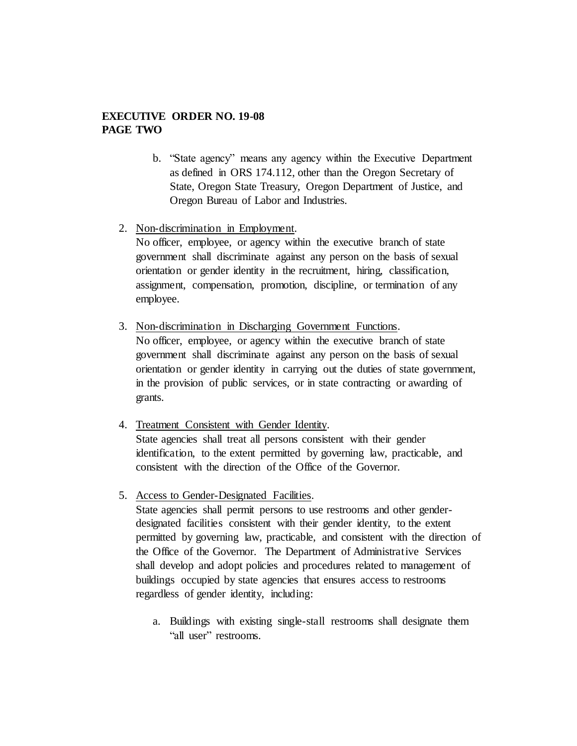## **EXECUTIVE ORDER NO. 19-08 PAGE TWO**

- b. "State agency" means any agency within the Executive Department as defined in ORS 174.112, other than the Oregon Secretary of State, Oregon State Treasury, Oregon Department of Justice, and Oregon Bureau of Labor and Industries.
- 2. Non-discrimination in Employment.

No officer, employee, or agency within the executive branch of state government shall discriminate against any person on the basis of sexual orientation or gender identity in the recruitment, hiring, classification, assignment, compensation, promotion, discipline, or termination of any employee.

- 3. Non-discrimination in Discharging Government Functions. No officer, employee, or agency within the executive branch of state government shall discriminate against any person on the basis of sexual orientation or gender identity in carrying out the duties of state government, in the provision of public services, or in state contracting or awarding of grants.
- 4. Treatment Consistent with Gender Identity. State agencies shall treat all persons consistent with their gender identification, to the extent permitted by governing law, practicable, and consistent with the direction of the Office of the Governor.
- 5. Access to Gender-Designated Facilities. State agencies shall permit persons to use restrooms and other genderdesignated facilities consistent with their gender identity, to the extent permitted by governing law, practicable, and consistent with the direction of the Office of the Governor. The Department of Administrative Services shall develop and adopt policies and procedures related to management of buildings occupied by state agencies that ensures access to restrooms regardless of gender identity, including:
	- a. Buildings with existing single-stall restrooms shall designate them "all user" restrooms.